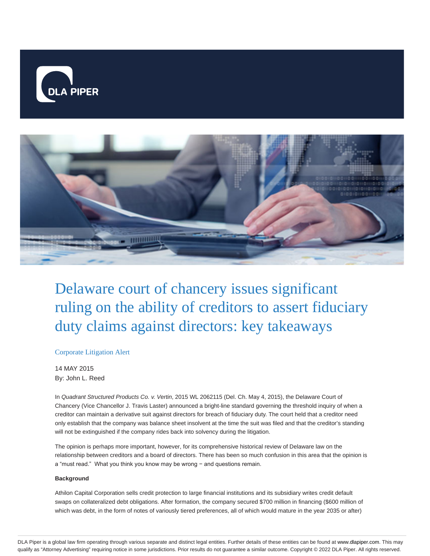



# Delaware court of chancery issues significant ruling on the ability of creditors to assert fiduciary duty claims against directors: key takeaways

# Corporate Litigation Alert

14 MAY 2015 By: John L. Reed

In Quadrant Structured Products Co. v. Vertin, 2015 WL 2062115 (Del. Ch. May 4, 2015), the Delaware Court of Chancery (Vice Chancellor J. Travis Laster) announced a bright-line standard governing the threshold inquiry of when a creditor can maintain a derivative suit against directors for breach of fiduciary duty. The court held that a creditor need only establish that the company was balance sheet insolvent at the time the suit was filed and that the creditor's standing will not be extinguished if the company rides back into solvency during the litigation.

The opinion is perhaps more important, however, for its comprehensive historical review of Delaware law on the relationship between creditors and a board of directors. There has been so much confusion in this area that the opinion is a "must read." What you think you know may be wrong − and questions remain.

### **Background**

Athilon Capital Corporation sells credit protection to large financial institutions and its subsidiary writes credit default swaps on collateralized debt obligations. After formation, the company secured \$700 million in financing (\$600 million of which was debt, in the form of notes of variously tiered preferences, all of which would mature in the year 2035 or after)

DLA Piper is a global law firm operating through various separate and distinct legal entities. Further details of these entities can be found at www.dlapiper.com. This may qualify as "Attorney Advertising" requiring notice in some jurisdictions. Prior results do not guarantee a similar outcome. Copyright © 2022 DLA Piper. All rights reserved.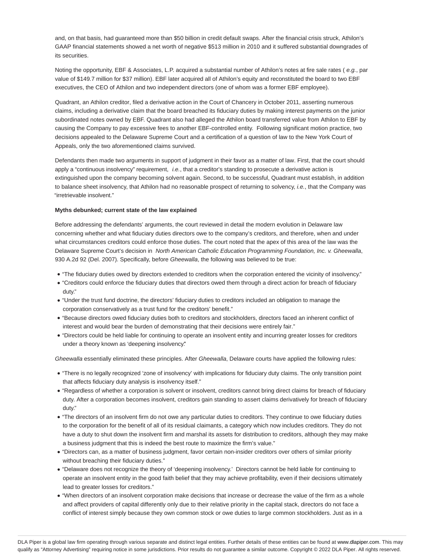and, on that basis, had guaranteed more than \$50 billion in credit default swaps. After the financial crisis struck, Athilon's GAAP financial statements showed a net worth of negative \$513 million in 2010 and it suffered substantial downgrades of its securities.

Noting the opportunity, EBF & Associates, L.P. acquired a substantial number of Athilon's notes at fire sale rates ( e.g., par value of \$149.7 million for \$37 million). EBF later acquired all of Athilon's equity and reconstituted the board to two EBF executives, the CEO of Athilon and two independent directors (one of whom was a former EBF employee).

Quadrant, an Athilon creditor, filed a derivative action in the Court of Chancery in October 2011, asserting numerous claims, including a derivative claim that the board breached its fiduciary duties by making interest payments on the junior subordinated notes owned by EBF. Quadrant also had alleged the Athilon board transferred value from Athilon to EBF by causing the Company to pay excessive fees to another EBF-controlled entity. Following significant motion practice, two decisions appealed to the Delaware Supreme Court and a certification of a question of law to the New York Court of Appeals, only the two aforementioned claims survived.

Defendants then made two arguments in support of judgment in their favor as a matter of law. First, that the court should apply a "continuous insolvency" requirement, i.e., that a creditor's standing to prosecute a derivative action is extinguished upon the company becoming solvent again. Second, to be successful, Quadrant must establish, in addition to balance sheet insolvency, that Athilon had no reasonable prospect of returning to solvency, *i.e.*, that the Company was "irretrievable insolvent."

## **Myths debunked; current state of the law explained**

Before addressing the defendants' arguments, the court reviewed in detail the modern evolution in Delaware law concerning whether and what fiduciary duties directors owe to the company's creditors, and therefore, when and under what circumstances creditors could enforce those duties. The court noted that the apex of this area of the law was the Delaware Supreme Court's decision in North American Catholic Education Programming Foundation, Inc. v. Gheewalla, 930 A.2d 92 (Del. 2007). Specifically, before Gheewalla, the following was believed to be true:

- "The fiduciary duties owed by directors extended to creditors when the corporation entered the vicinity of insolvency."
- "Creditors could enforce the fiduciary duties that directors owed them through a direct action for breach of fiduciary duty."
- "Under the trust fund doctrine, the directors' fiduciary duties to creditors included an obligation to manage the corporation conservatively as a trust fund for the creditors' benefit."
- "Because directors owed fiduciary duties both to creditors and stockholders, directors faced an inherent conflict of interest and would bear the burden of demonstrating that their decisions were entirely fair."
- "Directors could be held liable for continuing to operate an insolvent entity and incurring greater losses for creditors under a theory known as 'deepening insolvency.'"

Gheewalla essentially eliminated these principles. After Gheewalla, Delaware courts have applied the following rules:

- "There is no legally recognized 'zone of insolvency' with implications for fiduciary duty claims. The only transition point that affects fiduciary duty analysis is insolvency itself."
- "Regardless of whether a corporation is solvent or insolvent, creditors cannot bring direct claims for breach of fiduciary duty. After a corporation becomes insolvent, creditors gain standing to assert claims derivatively for breach of fiduciary duty."
- "The directors of an insolvent firm do not owe any particular duties to creditors. They continue to owe fiduciary duties to the corporation for the benefit of all of its residual claimants, a category which now includes creditors. They do not have a duty to shut down the insolvent firm and marshal its assets for distribution to creditors, although they may make a business judgment that this is indeed the best route to maximize the firm's value."
- "Directors can, as a matter of business judgment, favor certain non-insider creditors over others of similar priority without breaching their fiduciary duties."
- "Delaware does not recognize the theory of 'deepening insolvency.' Directors cannot be held liable for continuing to operate an insolvent entity in the good faith belief that they may achieve profitability, even if their decisions ultimately lead to greater losses for creditors."
- "When directors of an insolvent corporation make decisions that increase or decrease the value of the firm as a whole and affect providers of capital differently only due to their relative priority in the capital stack, directors do not face a conflict of interest simply because they own common stock or owe duties to large common stockholders. Just as in a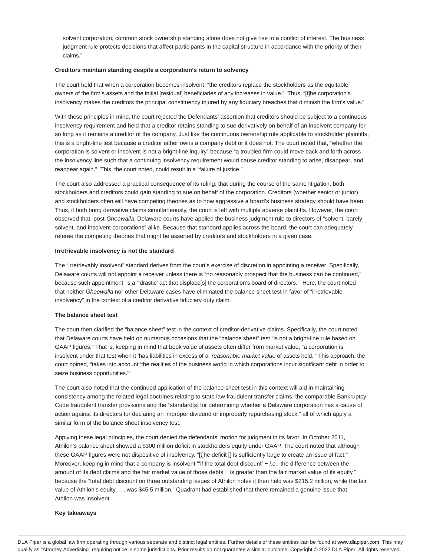solvent corporation, common stock ownership standing alone does not give rise to a conflict of interest. The business judgment rule protects decisions that affect participants in the capital structure in accordance with the priority of their claims."

#### **Creditors maintain standing despite a corporation's return to solvency**

The court held that when a corporation becomes insolvent, "the creditors replace the stockholders as the equitable owners of the firm's assets and the initial [residual] beneficiaries of any increases in value." Thus, "[t]he corporation's insolvency makes the creditors the principal constituency injured by any fiduciary breaches that diminish the firm's value."

With these principles in mind, the court rejected the Defendants' assertion that creditors should be subject to a continuous insolvency requirement and held that a creditor retains standing to sue derivatively on behalf of an insolvent company for so long as it remains a creditor of the company. Just like the continuous ownership rule applicable to stockholder plaintiffs, this is a bright-line test because a creditor either owns a company debt or it does not. The court noted that, "whether the corporation is solvent or insolvent is not a bright-line inquiry" because "a troubled firm could move back and forth across the insolvency line such that a continuing insolvency requirement would cause creditor standing to arise, disappear, and reappear again." This, the court noted, could result in a "failure of justice."

The court also addressed a practical consequence of its ruling: that during the course of the same litigation, both stockholders and creditors could gain standing to sue on behalf of the corporation. Creditors (whether senior or junior) and stockholders often will have competing theories as to how aggressive a board's business strategy should have been. Thus, if both bring derivative claims simultaneously, the court is left with multiple adverse plaintiffs. However, the court observed that, post-Gheewalla, Delaware courts have applied the business judgment rule to directors of "solvent, barely solvent, and insolvent corporations" alike. Because that standard applies across the board, the court can adequately referee the competing theories that might be asserted by creditors and stockholders in a given case.

#### **Irretrievable insolvency is not the standard**

The "irretrievably insolvent" standard derives from the court's exercise of discretion in appointing a receiver. Specifically, Delaware courts will not appoint a receiver unless there is "no reasonably prospect that the business can be continued," because such appointment is a "'drastic' act that displace[s] the corporation's board of directors." Here, the court noted that neither Gheewalla nor other Delaware cases have eliminated the balance sheet test in favor of "irretrievable insolvency" in the context of a creditor derivative fiduciary duty claim.

#### **The balance sheet test**

The court then clarified the "balance sheet" test in the context of creditor-derivative claims. Specifically, the court noted that Delaware courts have held on numerous occasions that the "balance sheet" test "is not a bright-line rule based on GAAP figures." That is, keeping in mind that book value of assets often differ from market value, "a corporation is insolvent under that test when it 'has liabilities in excess of a reasonable market value of assets held." This approach, the court opined, "takes into account 'the realities of the business world in which corporations incur significant debt in order to seize business opportunities.'"

The court also noted that the continued application of the balance sheet test in this context will aid in maintaining consistency among the related legal doctrines relating to state law fraudulent transfer claims, the comparable Bankruptcy Code fraudulent transfer provisions and the "standard[s] for determining whether a Delaware corporation has a cause of action against its directors for declaring an improper dividend or improperly repurchasing stock," all of which apply a similar form of the balance sheet insolvency test.

Applying these legal principles, the court denied the defendants' motion for judgment in its favor. In October 2011, Athilon's balance sheet showed a \$300 million deficit in stockholders equity under GAAP. The court noted that although these GAAP figures were not dispositive of insolvency, "[t]he deficit [] is sufficiently large to create an issue of fact." Moreover, keeping in mind that a company is insolvent "if the total debt discount' − i.e., the difference between the amount of its debt claims and the fair market value of those debts − is greater than the fair market value of its equity," because the "total debt discount on three outstanding issues of Athilon notes it then held was \$215.2 million, while the fair value of Athilon's equity . . . was \$45.5 million," Quadrant had established that there remained a genuine issue that Athilon was insolvent.

#### **Key takeaways**

DLA Piper is a global law firm operating through various separate and distinct legal entities. Further details of these entities can be found at www.dlapiper.com. This may qualify as "Attorney Advertising" requiring notice in some jurisdictions. Prior results do not guarantee a similar outcome. Copyright © 2022 DLA Piper. All rights reserved.